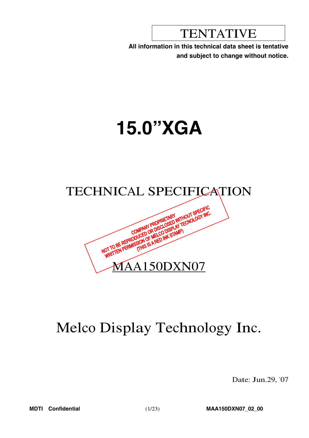**TENTATIVE** 

All information in this technical data sheet is tentative and subject to change without notice.

# **15.0"XGA**



# Melco Display Technology Inc.

Date: Jun.29, '07

**MDTI** Confidential

MAA150DXN07\_02\_00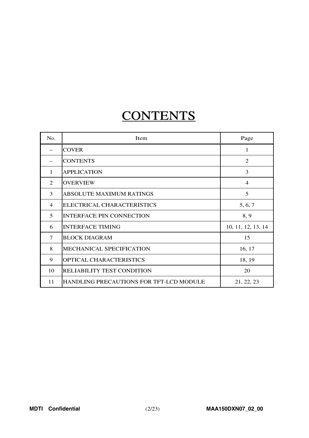# **CONTENTS**

| No.            | Item                                    | Page               |
|----------------|-----------------------------------------|--------------------|
|                | <b>COVER</b>                            | 1                  |
| --             | <b>CONTENTS</b>                         | $\overline{2}$     |
| 1              | <b>APPLICATION</b>                      | 3                  |
| 2              | <b>OVERVIEW</b>                         | $\overline{4}$     |
| 3              | <b>ABSOLUTE MAXIMUM RATINGS</b>         | 5                  |
| $\overline{4}$ | ELECTRICAL CHARACTERISTICS              | 5, 6, 7            |
| 5              | <b>INTERFACE PIN CONNECTION</b>         | 8, 9               |
| 6              | <b>INTERFACE TIMING</b>                 | 10, 11, 12, 13, 14 |
| 7              | <b>BLOCK DIAGRAM</b>                    | 15                 |
| 8              | <b>MECHANICAL SPECIFICATION</b>         | 16, 17             |
| 9              | OPTICAL CHARACTERISTICS                 | 18, 19             |
| 10             | <b>RELIABILITY TEST CONDITION</b>       | 20                 |
| 11             | HANDLING PRECAUTIONS FOR TFT-LCD MODULE | 21, 22, 23         |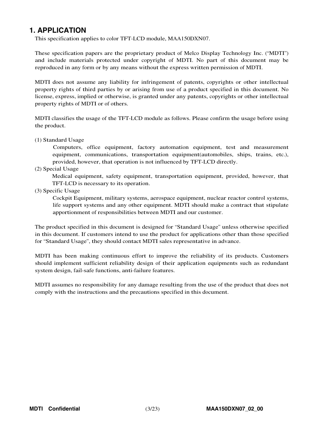# **1. APPLICATION**

This specification applies to color TFT-LCD module, MAA150DXN07.

These specification papers are the proprietary product of Melco Display Technology Inc. ("MDTI") and include materials protected under copyright of MDTI. No part of this document may be reproduced in any form or by any means without the express written permission of MDTI.

MDTI does not assume any liability for infringement of patents, copyrights or other intellectual property rights of third parties by or arising from use of a product specified in this document. No license, express, implied or otherwise, is granted under any patents, copyrights or other intellectual property rights of MDTI or of others.

MDTI classifies the usage of the TFT-LCD module as follows. Please confirm the usage before using the product.

(1) Standard Usage

Computers, office equipment, factory automation equipment, test and measurement equipment, communications, transportation equipment(automobiles, ships, trains, etc.), provided, however, that operation is not influenced by TFT-LCD directly.

(2) Special Usage

Medical equipment, safety equipment, transportation equipment, provided, however, that TFT-LCD is necessary to its operation.

(3) Specific Usage

Cockpit Equipment, military systems, aerospace equipment, nuclear reactor control systems, life support systems and any other equipment. MDTI should make a contract that stipulate apportionment of responsibilities between MDTI and our customer.

The product specified in this document is designed for "Standard Usage" unless otherwise specified in this document. If customers intend to use the product for applications other than those specified for "Standard Usage", they should contact MDTI sales representative in advance.

MDTI has been making continuous effort to improve the reliability of its products. Customers should implement sufficient reliability design of their application equipments such as redundant system design, fail-safe functions, anti-failure features.

MDTI assumes no responsibility for any damage resulting from the use of the product that does not comply with the instructions and the precautions specified in this document.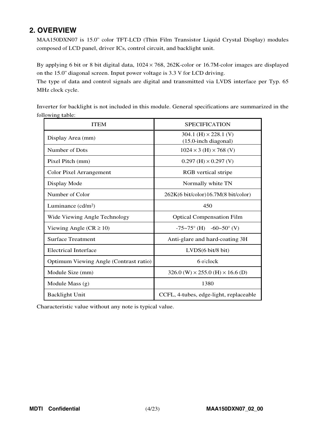# **2. OVERVIEW**

MAA150DXN07 is 15.0" color TFT-LCD (Thin Film Transistor Liquid Crystal Display) modules composed of LCD panel, driver ICs, control circuit, and backlight unit.

By applying <sup>6</sup> bit or <sup>8</sup> bit digital data, <sup>1024</sup> × 768, 262K-color or 16.7M-color images are displayed on the 15.0" diagonal screen. Input power voltage is 3.3 V for LCD driving.

The type of data and control signals are digital and transmitted via LVDS interface per Typ. 65 MHz clock cycle.

Inverter for backlight is not included in this module. General specifications are summarized in the following table:

| <b>ITEM</b>                            | <b>SPECIFICATION</b>                                    |
|----------------------------------------|---------------------------------------------------------|
| Display Area (mm)                      | 304.1 (H) $\times$ 228.1 (V)<br>$(15.0$ -inch diagonal) |
| Number of Dots                         | $1024 \times 3$ (H) $\times 768$ (V)                    |
| Pixel Pitch (mm)                       | $0.297$ (H) $\times$ 0.297 (V)                          |
| Color Pixel Arrangement                | RGB vertical stripe                                     |
| Display Mode                           | Normally white TN                                       |
| Number of Color                        | 262K(6 bit/color)16.7M(8 bit/color)                     |
| Luminance $(cd/m2)$                    | 450                                                     |
| Wide Viewing Angle Technology          | <b>Optical Compensation Film</b>                        |
| Viewing Angle ( $CR \ge 10$ )          | $-75\sim75^{\circ}$ (H) $-60\sim50^{\circ}$ (V)         |
| <b>Surface Treatment</b>               | Anti-glare and hard-coating 3H                          |
| <b>Electrical Interface</b>            | LVDS(6 bit/8 bit)                                       |
| Optimum Viewing Angle (Contrast ratio) | 6 o'clock                                               |
| Module Size (mm)                       | $326.0$ (W) $\times$ 255.0 (H) $\times$ 16.6 (D)        |
| Module Mass (g)                        | 1380                                                    |
| <b>Backlight Unit</b>                  | CCFL, 4-tubes, edge-light, replaceable                  |

Characteristic value without any note is typical value.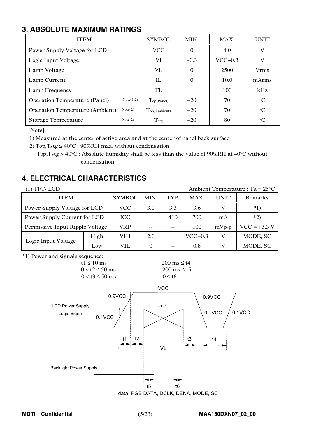# **3. ABSOLUTE MAXIMUM RATINGS**

| <b>ITEM</b>                                         | <b>SYMBOL</b>            | MIN.     | MAX.      | <b>UNIT</b>     |  |  |
|-----------------------------------------------------|--------------------------|----------|-----------|-----------------|--|--|
| Power Supply Voltage for LCD                        | <b>VCC</b>               | $\Omega$ | 4.0       | V               |  |  |
| Logic Input Voltage                                 | VI                       | $-0.3$   | $VCC+0.3$ | v               |  |  |
| Lamp Voltage                                        | VL.                      | $\Omega$ | 2500      | <b>Vrms</b>     |  |  |
| Lamp Current                                        | $_{\rm IL}$              | $\Omega$ | 10.0      | mArms           |  |  |
| Lamp Frequency                                      | FL                       |          | 100       | kHz             |  |  |
| Note $1,2)$<br><b>Operation Temperature (Panel)</b> | Top(Panel)               | $-20$    | 70        | $^{\circ}C$     |  |  |
| Note $2)$<br><b>Operation Temperature (Ambient)</b> | $T_{\text{op(Ambient)}}$ | $-20$    | 70        | $\rm ^{\circ}C$ |  |  |
| Note 2)<br><b>Storage Temperature</b>               | $T_{\text{stg}}$         | $-20$    | 80        | $^{\circ}C$     |  |  |

[Note]

1) Measured at the center of active area and at the center of panel back surface

2) Top, Tstg  $\leq 40^{\circ}$ C : 90%RH max. without condensation

<sup>T</sup>op,Tstg <sup>&</sup>gt; <sup>40</sup>°<sup>C</sup> : Absolute humidity shall be less than the value of <sup>90</sup>%RH at <sup>40</sup>°<sup>C</sup> without condensation.

# **4. ELECTRICAL CHARACTERISTICS**

| $(1)$ TFT-LCD                   |               |      | Ambient Temperature : Ta = $25^{\circ}$ C |     |             |                |          |  |
|---------------------------------|---------------|------|-------------------------------------------|-----|-------------|----------------|----------|--|
| <b>ITEM</b>                     | <b>SYMBOL</b> | MIN. | TYP.<br>MAX.                              |     | <b>UNIT</b> | Remarks        |          |  |
| Power Supply Voltage for LCD    | <b>VCC</b>    | 3.0  | 3.3                                       | 3.6 | V           | $*1)$          |          |  |
| Power Supply Current for LCD    | <b>ICC</b>    |      | 410                                       | 700 | mA          | $*2)$          |          |  |
| Permissive Input Ripple Voltage | <b>VRP</b>    | --   |                                           | 100 | $mVp-p$     | $VCC = +3.3 V$ |          |  |
| Logic Input Voltage             | High          | VIH  | 2.0                                       |     | $VCC+0.3$   | V              | MODE, SC |  |
|                                 | Low           | VIL  | $\Omega$                                  |     | 0.8         | V              | MODE, SC |  |

\*1) Power and signals sequence:



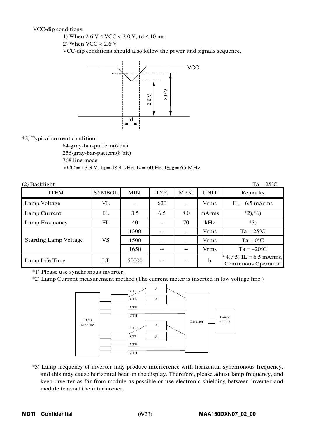VCC-dip conditions:

1) When  $2.6 \text{ V} \leq \text{VCC} < 3.0 \text{ V}$ , td  $\leq 10 \text{ ms}$ 

2) When  $VCC < 2.6$  V

VCC-dip conditions should also follow the power and signals sequence.



\*2) Typical current condition:

64-gray-bar-pattern(6 bit) 256-gray-bar-pattern(8 bit) 768 line mode  $VCC = +3.3 V$ , f<sub>H</sub> = 48.4 kHz, f<sub>V</sub> = 60 Hz, f<sub>CLK</sub> = 65 MHz

| $(2)$ Backlight              | $Ta = 25^{\circ}C$       |                   |                     |       |             |                                                         |
|------------------------------|--------------------------|-------------------|---------------------|-------|-------------|---------------------------------------------------------|
| <b>ITEM</b>                  | <b>SYMBOL</b>            | MIN.              | TYP.                | MAX.  | UNIT        | Remarks                                                 |
| Lamp Voltage                 | VL                       | $- -$             | 620                 |       | <b>Vrms</b> | $IL = 6.5$ mArms                                        |
| Lamp Current                 | $\rm{I}\hspace{-1.2pt}L$ | 8.0<br>3.5<br>6.5 |                     | mArms | $*2, *6)$   |                                                         |
| Lamp Frequency               | FL                       | 40                |                     | 70    | kHz         | $*3)$                                                   |
|                              |                          | 1300              |                     |       | Vrms        | $Ta = 25^{\circ}C$                                      |
| <b>Starting Lamp Voltage</b> | VS                       | 1500              |                     |       | <b>Vrms</b> | $Ta = 0^{\circ}C$                                       |
|                              |                          | 1650              |                     |       | <b>Vrms</b> | $Ta = -20$ °C                                           |
| Lamp Life Time               | LT                       | 50000             | $\mathbf h$<br>$ -$ |       |             | $*4, *5$ IL = 6.5 mArms,<br><b>Continuous Operation</b> |

\*1) Please use synchronous inverter.

\*2) Lamp Current measurement method (The current meter is inserted in low voltage line.)



\*3) Lamp frequency of inverter may produce interference with horizontal synchronous frequency, and this may cause horizontal beat on the display. Therefore, please adjust lamp frequency, and keep inverter as far from module as possible or use electronic shielding between inverter and module to avoid the interference.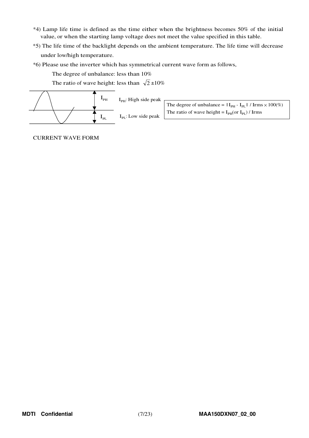- \*4) Lamp life time is defined as the time either when the brightness becomes 50% of the initial value, or when the starting lamp voltage does not meet the value specified in this table.
- \*5) The life time of the backlight depends on the ambient temperature. The life time will decrease under low/high temperature.
- \*6) Please use the inverter which has symmetrical current wave form as follows,

The degree of unbalance: less than 10%

The ratio of wave height: less than  $\sqrt{2} \pm 10\%$ 



CURRENT WAVE FORM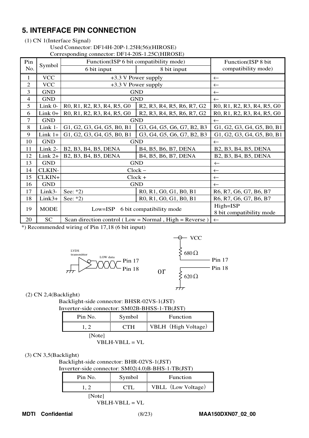# **5. INTERFACE PIN CONNECTION**

## (1) CN 1(Interface Signal)

#### Used Connector: DF14H-20P-1.25H(56)(HIROSE)

Corresponding connector: DF14-20S-1.25C(HIROSE)

| Pin            | Symbol      | Function(ISP 6 bit compatibility mode)                                                                               | Function(ISP 8 bit                                                                                                   |                                                                                                                      |  |  |  |  |
|----------------|-------------|----------------------------------------------------------------------------------------------------------------------|----------------------------------------------------------------------------------------------------------------------|----------------------------------------------------------------------------------------------------------------------|--|--|--|--|
| No.            |             | 6 bit input                                                                                                          | 8 bit input                                                                                                          | compatibility mode)                                                                                                  |  |  |  |  |
| 1              | <b>VCC</b>  |                                                                                                                      | +3.3 V Power supply                                                                                                  | $\leftarrow$                                                                                                         |  |  |  |  |
| $\overline{2}$ | <b>VCC</b>  |                                                                                                                      | +3.3 V Power supply                                                                                                  | $\leftarrow$                                                                                                         |  |  |  |  |
| 3              | <b>GND</b>  |                                                                                                                      | <b>GND</b>                                                                                                           | $\leftarrow$                                                                                                         |  |  |  |  |
| $\overline{4}$ | <b>GND</b>  |                                                                                                                      | <b>GND</b>                                                                                                           | $\leftarrow$                                                                                                         |  |  |  |  |
| 5              | Link 0-     | R <sub>0</sub> , R <sub>1</sub> , R <sub>2</sub> , R <sub>3</sub> , R <sub>4</sub> , R <sub>5</sub> , G <sub>0</sub> | R2, R3, R4, R5, R6, R7, G2                                                                                           | R <sub>0</sub> , R <sub>1</sub> , R <sub>2</sub> , R <sub>3</sub> , R <sub>4</sub> , R <sub>5</sub> , G <sub>0</sub> |  |  |  |  |
| 6              | $Link 0+$   | R0, R1, R2, R3, R4, R5, G0                                                                                           | R <sub>2</sub> , R <sub>3</sub> , R <sub>4</sub> , R <sub>5</sub> , R <sub>6</sub> , R <sub>7</sub> , G <sub>2</sub> | R0, R1, R2, R3, R4, R5, G0                                                                                           |  |  |  |  |
| 7              | <b>GND</b>  |                                                                                                                      | <b>GND</b>                                                                                                           | $\leftarrow$                                                                                                         |  |  |  |  |
| 8              | Link 1-     | G1, G2, G3, G4, G5, B0, B1                                                                                           | G3, G4, G5, G6, G7, B2, B3                                                                                           | G1, G2, G3, G4, G5, B0, B1                                                                                           |  |  |  |  |
| 9              | $Link 1+$   | G1, G2, G3, G4, G5, B0, B1                                                                                           | G3, G4, G5, G6, G7, B2, B3                                                                                           | G1, G2, G3, G4, G5, B0, B1                                                                                           |  |  |  |  |
| 10             | <b>GND</b>  |                                                                                                                      | <b>GND</b>                                                                                                           | $\leftarrow$                                                                                                         |  |  |  |  |
| 11             | Link 2-     | B2, B3, B4, B5, DENA                                                                                                 | B4, B5, B6, B7, DENA                                                                                                 | B2, B3, B4, B5, DENA                                                                                                 |  |  |  |  |
| 12             | Link 2+     | B2, B3, B4, B5, DENA                                                                                                 | B4, B5, B6, B7, DENA                                                                                                 | B2, B3, B4, B5, DENA                                                                                                 |  |  |  |  |
| 13             | <b>GND</b>  | <b>GND</b>                                                                                                           | $\leftarrow$                                                                                                         |                                                                                                                      |  |  |  |  |
| 14             | CLKIN-      | $Clock -$                                                                                                            | $\leftarrow$                                                                                                         |                                                                                                                      |  |  |  |  |
| 15             | CLKIN+      | $Clock +$                                                                                                            | $\leftarrow$                                                                                                         |                                                                                                                      |  |  |  |  |
| 16             | <b>GND</b>  | <b>GND</b>                                                                                                           | $\leftarrow$                                                                                                         |                                                                                                                      |  |  |  |  |
| 17             | Link3-      | See: $*2)$                                                                                                           | R0, R1, G0, G1, B0, B1                                                                                               | R6, R7, G6, G7, B6, B7                                                                                               |  |  |  |  |
| 18             | $Link3+$    | See: $*2)$                                                                                                           | R0, R1, G0, G1, B0, B1                                                                                               | R6, R7, G6, G7, B6, B7                                                                                               |  |  |  |  |
| 19             | <b>MODE</b> | 6 bit compatibility mode<br>$Low = ISP$                                                                              | $High=ISP$<br>8 bit compatibility mode                                                                               |                                                                                                                      |  |  |  |  |
| 20             | <b>SC</b>   |                                                                                                                      | Scan direction control (Low = Normal, High = Reverse)                                                                | $\leftarrow$                                                                                                         |  |  |  |  |

\*) Recommended wiring of Pin 17,18 (6 bit input)



(2) CN 2,4(Backlight)

Backlight-side connector: BHSR-02VS-1(JST)

| Inverter-side connector: SM02B-BHSS-1-TB(JST) |  |
|-----------------------------------------------|--|

| Pin No. | Symbol     | Function            |  |  |  |  |
|---------|------------|---------------------|--|--|--|--|
|         | <b>CTH</b> | VBLH (High Voltage) |  |  |  |  |
| [Note]  |            |                     |  |  |  |  |

## VBLH-VBLL = VL

#### (3) CN 3,5(Backlight)

Backlight-side connector: BHR-02VS-1(JST)

| Inverter-side connector: SM02(4.0)B-BHS-1-TB(JST) |
|---------------------------------------------------|
|---------------------------------------------------|

| Pin No. | Symbol | <b>Function</b>    |  |  |  |  |  |
|---------|--------|--------------------|--|--|--|--|--|
|         | CTI.   | VBLL (Low Voltage) |  |  |  |  |  |
| [Note]  |        |                    |  |  |  |  |  |

VBLH-VBLL = VL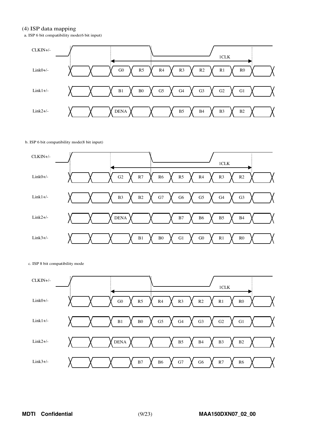#### (4) ISP data mapping

a. ISP 6 bit compatibility mode(6 bit input)



#### b. ISP 6 bit compatibility mode(8 bit input)



c. ISP 8 bit compatibility mode

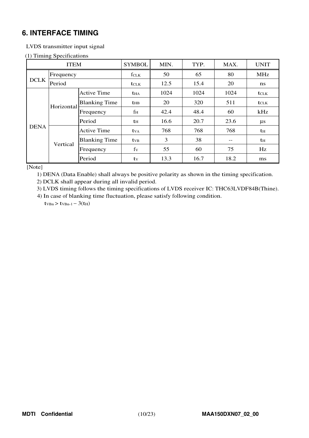# **6. INTERFACE TIMING**

## LVDS transmitter input signal

#### (1) Timing Specifications

| <b>ITEM</b> |            |                      | <b>SYMBOL</b>           | MIN. | TYP. | MAX.  | <b>UNIT</b>    |
|-------------|------------|----------------------|-------------------------|------|------|-------|----------------|
|             | Frequency  |                      | fclk                    | 50   | 65   | 80    | <b>MHz</b>     |
| <b>DCLK</b> | Period     |                      | <b>t</b> CLK            | 12.5 | 15.4 | 20    | $\mathbf{n}$ s |
|             |            | <b>Active Time</b>   | <b>t</b> HA             | 1024 | 1024 | 1024  | <b>t</b> CLK   |
| <b>DENA</b> | Horizontal | <b>Blanking Time</b> | $t_{HB}$                | 20   | 320  | 511   | <b>t</b> CLK   |
|             |            | Frequency            | fн                      | 42.4 | 48.4 | 60    | kHz            |
|             |            | Period               | tн                      | 16.6 | 20.7 | 23.6  | $\mu s$        |
|             | Vertical   | <b>Active Time</b>   | <b>t</b> v <sub>A</sub> | 768  | 768  | 768   | th             |
|             |            | <b>Blanking Time</b> | <b>t</b> <sub>VB</sub>  | 3    | 38   | $- -$ | th             |
|             |            | Frequency            | fv                      | 55   | 60   | 75    | Hz             |
|             |            | Period               | tv                      | 13.3 | 16.7 | 18.2  | ms             |

[Note]

1) DENA (Data Enable) shall always be positive polarity as shown in the timing specification.

2) DCLK shall appear during all invalid period.

3) LVDS timing follows the timing specifications of LVDS receiver IC: THC63LVDF84B(Thine).

4) In case of blanking time fluctuation, please satisfy following condition.

 $t_{VBn}$  >  $t_{VBn-1}$  – 3( $t_{H}$ )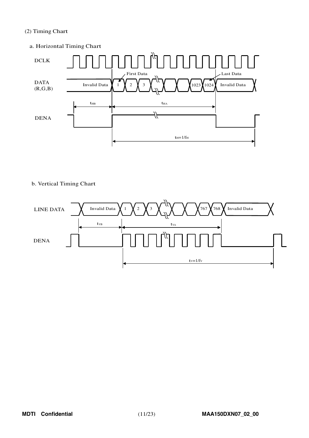## (2) Timing Chart





## b. Vertical Timing Chart

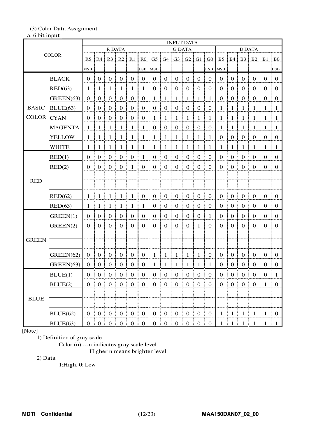# (3) Color Data Assignment

## a. 6 bit input

|              |                |                  |                                                |                   |                       |                  |                     |                  |                   |                                        | <b>INPUT DATA</b>                     |                  |                  |                  |                                              |                   |                  |                       |                       |
|--------------|----------------|------------------|------------------------------------------------|-------------------|-----------------------|------------------|---------------------|------------------|-------------------|----------------------------------------|---------------------------------------|------------------|------------------|------------------|----------------------------------------------|-------------------|------------------|-----------------------|-----------------------|
| <b>COLOR</b> |                |                  |                                                | <b>R DATA</b>     |                       |                  |                     |                  |                   | <b>G DATA</b>                          |                                       |                  |                  |                  |                                              | <b>B DATA</b>     |                  |                       |                       |
|              |                |                  | R5   R4                                        | R <sub>3</sub>    | R2                    | R1               | R <sub>0</sub>      |                  |                   | $G5$ $G4$ $G3$                         | G2                                    | G1               | G <sub>0</sub>   | <b>B5</b>        | B4                                           | B <sub>3</sub>    | B2               | $B1$ BO               |                       |
|              |                | <b>MSB</b>       |                                                |                   |                       |                  | LSB                 | <b>MSB</b>       |                   |                                        |                                       |                  | LSB              | <b>MSB</b>       |                                              |                   |                  |                       | LSB                   |
|              | <b>BLACK</b>   | $\boldsymbol{0}$ | $\mathbf{0}$                                   | $\boldsymbol{0}$  | $\mathbf{0}$          | $\boldsymbol{0}$ | $\mathbf{0}$        | $\boldsymbol{0}$ | $\mathbf{0}$      | $\boldsymbol{0}$                       | $\mathbf{0}$                          | $\mathbf{0}$     | $\boldsymbol{0}$ | $\mathbf{0}$     | $\mathbf{0}$                                 | $\mathbf{0}$      | $\mathbf{0}$     | $\mathbf{0}$          | $\mathbf{0}$          |
|              | RED(63)        | 1                | 1                                              | $\mathbf{1}$      | $\mathbf{1}$          | $\mathbf{1}$     | $\mathbf{1}$        | $\boldsymbol{0}$ | $\boldsymbol{0}$  | $\boldsymbol{0}$                       | $\mathbf{0}$                          | $\mathbf{0}$     | $\boldsymbol{0}$ | $\boldsymbol{0}$ | $\boldsymbol{0}$                             | $\boldsymbol{0}$  | $\mathbf{0}$     | $\mathbf{0}$          | $\boldsymbol{0}$      |
|              | GREEN(63)      | $\boldsymbol{0}$ | $\mathbf{0}$                                   | $\boldsymbol{0}$  | $\boldsymbol{0}$      | $\boldsymbol{0}$ | $\boldsymbol{0}$    | 1                | $\mathbf{1}$      | $\mathbf{1}$                           | $\mathbf{1}$                          | $\mathbf{1}$     | 1                | $\mathbf{0}$     | $\mathbf{0}$                                 | $\boldsymbol{0}$  | $\boldsymbol{0}$ | $\boldsymbol{0}$      | $\boldsymbol{0}$      |
| <b>BASIC</b> | BLUE(63)       | $\mathbf{0}$     | $\boldsymbol{0}$                               | $\boldsymbol{0}$  | $\boldsymbol{0}$      | $\boldsymbol{0}$ | $\boldsymbol{0}$    | $\boldsymbol{0}$ | $\boldsymbol{0}$  | $\mathbf{0}$                           | $\mathbf{0}$                          | $\mathbf{0}$     | $\boldsymbol{0}$ | $\mathbf{1}$     | $\mathbf{1}$                                 | $\mathbf{1}$      | $\mathbf{1}$     | 1                     | $\mathbf{1}$          |
| <b>COLOR</b> | <b>CYAN</b>    | $\mathbf{0}$     | $\boldsymbol{0}$                               | $\boldsymbol{0}$  | $\boldsymbol{0}$      | $\boldsymbol{0}$ | $\boldsymbol{0}$    | $\mathbf{1}$     | $\mathbf{1}$      | $\mathbf{1}$                           | $\mathbf{1}$                          | $\mathbf{1}$     | $\mathbf{1}$     | $\mathbf{1}$     | $\mathbf{1}$                                 | $\mathbf{1}$      | $\mathbf{1}$     | 1                     | $\mathbf{1}$          |
|              | <b>MAGENTA</b> | $\mathbf{1}$     | -1                                             | $\mathbf{1}$      | 1                     | $\mathbf{1}$     | 1                   | $\boldsymbol{0}$ | $\boldsymbol{0}$  | $\mathbf{0}$                           | $\boldsymbol{0}$                      | $\mathbf{0}$     | $\boldsymbol{0}$ | $\mathbf{1}$     | $\mathbf{1}$                                 | $\mathbf{1}$      | $\mathbf{1}$     | $\mathbf{1}$          | $\mathbf{1}$          |
|              | <b>YELLOW</b>  | -1               | -1                                             | 1                 | $\mathbf{1}$          | $\mathbf{1}$     | $\mathbf{1}$        | $\mathbf{1}$     | $\mathbf{1}$      | $\mathbf{1}$                           | $\mathbf{1}$                          | $\mathbf{1}$     | $\mathbf{1}$     | $\boldsymbol{0}$ | $\boldsymbol{0}$                             | $\boldsymbol{0}$  | $\mathbf{0}$     | $\boldsymbol{0}$      | $\boldsymbol{0}$      |
|              | <b>WHITE</b>   | 1                | 1                                              | 1                 | 1                     | 1                | 1                   | 1                | 1                 | $\mathbf{1}$                           | 1                                     | 1                | 1                | 1                | $\mathbf{1}$                                 | 1                 | 1                | 1                     | $\mathbf{1}$          |
|              | RED(1)         | $\mathbf{0}$     | $\boldsymbol{0}$                               | $\boldsymbol{0}$  | $\boldsymbol{0}$      | $\boldsymbol{0}$ | $\mathbf{1}$        | $\boldsymbol{0}$ | $\boldsymbol{0}$  | $\boldsymbol{0}$                       | $\boldsymbol{0}$                      | $\mathbf{0}$     | $\boldsymbol{0}$ | $\boldsymbol{0}$ | $\boldsymbol{0}$                             | $\boldsymbol{0}$  | $\boldsymbol{0}$ | $\mathbf{0}$          | $\boldsymbol{0}$      |
|              | RED(2)         | $\mathbf{0}$     | $\boldsymbol{0}$                               | $\boldsymbol{0}$  | $\boldsymbol{0}$      | $\mathbf{1}$     | $\boldsymbol{0}$    | $\boldsymbol{0}$ | $\boldsymbol{0}$  | $\boldsymbol{0}$                       | $\mathbf{0}$                          | $\boldsymbol{0}$ | $\boldsymbol{0}$ | $\boldsymbol{0}$ | $\boldsymbol{0}$                             | $\boldsymbol{0}$  | $\boldsymbol{0}$ | $\boldsymbol{0}$      | $\mathbf{0}$          |
| <b>RED</b>   |                |                  |                                                |                   |                       |                  |                     |                  |                   |                                        |                                       |                  |                  |                  |                                              |                   |                  |                       |                       |
|              |                |                  |                                                |                   |                       |                  |                     |                  |                   |                                        |                                       |                  |                  |                  |                                              |                   |                  |                       |                       |
|              | RED(62)        | 1                | -1                                             | Ŧ<br>-1           | 1                     | 1                | $\boldsymbol{0}$    | $\boldsymbol{0}$ | $\boldsymbol{0}$  | $\mathbf{0}$                           | $\boldsymbol{0}$<br>Ŧ                 | $\mathbf{0}$     | $\boldsymbol{0}$ | $\overline{0}$   | t<br>$\boldsymbol{0}$                        | $\boldsymbol{0}$  | $\mathbf{0}$     | $\boldsymbol{0}$<br>÷ | $\overline{0}$        |
|              | RED(63)        | 1                | 1                                              | $\perp$           | 1                     | 1                | 1                   | $\boldsymbol{0}$ | $\boldsymbol{0}$  | $\boldsymbol{0}$                       | $\boldsymbol{0}$                      | $\boldsymbol{0}$ | $\boldsymbol{0}$ | $\boldsymbol{0}$ | $\boldsymbol{0}$                             | $\boldsymbol{0}$  | $\boldsymbol{0}$ | $\boldsymbol{0}$      | $\boldsymbol{0}$<br>ŧ |
|              | GREEN(1)       | $\mathbf{0}$     | $\mathbf{0}$                                   | $\mathbf{0}$      | $\mathbf{0}$          | $\mathbf{0}$     | $\mathbf{0}$        | $\boldsymbol{0}$ | $\boldsymbol{0}$  | $\boldsymbol{0}$                       | $\mathbf{0}$                          | $\mathbf{0}$     | $\mathbf{1}$     | $\mathbf{0}$     | $\boldsymbol{0}$                             | $\mathbf{0}$      | $\mathbf{0}$     | $\boldsymbol{0}$      | $\mathbf{0}$          |
|              | GREEN(2)       | $\mathbf{0}$     | $\mathbf{0}$                                   | $\boldsymbol{0}$  | $\mathbf{0}$          | $\mathbf{0}$     | $\mathbf{0}$        | $\boldsymbol{0}$ | $\boldsymbol{0}$  | $\mathbf{0}$                           | $\mathbf{0}$                          | $\mathbf{1}$     | $\mathbf{0}$     | $\mathbf{0}$     | $\mathbf{0}$                                 | $\mathbf{0}$      | $\mathbf{0}$     | $\mathbf{0}$          | $\boldsymbol{0}$      |
| <b>GREEN</b> |                |                  |                                                |                   |                       |                  |                     |                  |                   |                                        |                                       |                  |                  |                  |                                              |                   |                  |                       |                       |
|              |                |                  |                                                |                   |                       |                  |                     |                  |                   |                                        |                                       |                  |                  |                  |                                              |                   |                  |                       |                       |
|              | GREEN(62)      | $\boldsymbol{0}$ | $\boldsymbol{0}$                               | $\boldsymbol{0}$  | $\mathbf{0}$          | $\mathbf{0}$     | $\mathbf{0}$        | $\mathbf{1}$     | $\mathbf{1}$      | $\mathbf{1}$                           | -1                                    | $\mathbf{1}$     | $\overline{0}$   | $\overline{0}$   | $\mathbf{0}$                                 | $\mathbf{0}$      | $\mathbf{0}$     | $\boldsymbol{0}$      | $\mathbf{0}$          |
|              | GREEN(63)      | $\boldsymbol{0}$ | $\boldsymbol{0}$                               | $\mathbf{0}$      | $\boldsymbol{0}$      | $\mathbf 0$      | $\mathbf{0}$        | 1                | 1                 | 1                                      | 1                                     | 1                | 1                | $\mathbf{0}$     | $\boldsymbol{0}$                             | $\mathbf{0}$      | $\boldsymbol{0}$ | $\boldsymbol{0}$      | $\mathbf{0}$          |
|              | BLUE(1)        | $\mathbf{0}$     | $\parallel$ 0                                  | $\boldsymbol{0}$  | $\mathbf 0$           | $\boldsymbol{0}$ | $\boldsymbol{0}$    | $\boldsymbol{0}$ | $\boldsymbol{0}$  | $\boldsymbol{0}$                       | $\boldsymbol{0}$                      | $\mathbf{0}$     | $\boldsymbol{0}$ | $\boldsymbol{0}$ | $\mathbf 0$                                  | $\boldsymbol{0}$  | $\boldsymbol{0}$ | $\boldsymbol{0}$      | -1                    |
| <b>BLUE</b>  | BLUE(2)        | $\mathbf{0}$     |                                                |                   | $\mathbf{0}$<br>Ē.    | $\mathbf{0}$     | $\overline{0}$<br>÷ | $\overline{0}$   | $\boldsymbol{0}$  | $\begin{bmatrix} 0 \\ 0 \end{bmatrix}$ | $\mathbf{0}$<br>Ŧ                     | $\overline{0}$   | $\overline{0}$   | $\overline{0}$   | $\begin{matrix} 1 & 0 \\ 0 & 0 \end{matrix}$ | $\mathbf{0}$<br>÷ | $\overline{0}$   | $\mathbf{1}$          | $\overline{0}$        |
|              |                |                  |                                                |                   |                       |                  |                     |                  |                   |                                        |                                       |                  |                  |                  |                                              |                   |                  |                       |                       |
|              |                |                  |                                                |                   |                       |                  |                     |                  |                   |                                        |                                       |                  |                  |                  |                                              |                   |                  |                       |                       |
|              | BLUE(62)       | $\mathbf{0}$     | $\begin{bmatrix} 0 & 0 \\ 0 & 0 \end{bmatrix}$ |                   | $\mathbf{0}$          | $\overline{0}$   | $\overline{0}$      | $0 \mid 0$       |                   | $\begin{matrix} 1 & 0 \end{matrix}$    | $\begin{array}{c} 0 \end{array}$<br>÷ | $0 \mid 0$       |                  | $\mathbf{1}$     | $\vdash 1$                                   | $\mathbf{1}$      | $\mathbf{1}$     | -1                    | $\bf{0}$              |
|              | BLUE(63)       |                  | $0 \mid 0 \mid$                                | $\mathbf{0}$<br>÷ | $\boldsymbol{0}$<br>÷ | $\boldsymbol{0}$ | $\mathbf{0}$        | $\overline{0}$   | $\mathbf{0}$<br>ŧ | $\mathbf{0}$<br>÷                      | $\boldsymbol{0}$<br>÷                 | $\boldsymbol{0}$ | $\boldsymbol{0}$ | 1                | 1                                            | 1                 | 1                |                       | $\mathbf{1}$          |

[Note]

1) Definition of gray scale

Color (n) ---n indicates gray scale level.

Higher n means brighter level.

2) Data

1:High, 0: Low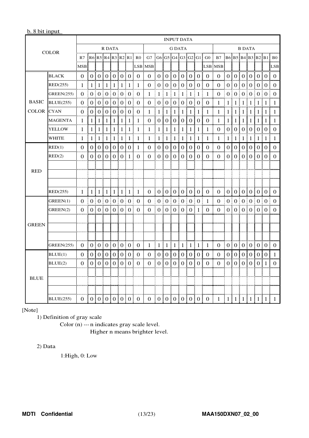## b. 8 bit input

| <b>COLOR</b> |                   | <b>INPUT DATA</b> |                |                |                                             |                |                   |                   |                        |                |                  |                   |                  |                     |                           |                       |                      |                         |                                                                           |              |                   |                 |                       |                 |                |
|--------------|-------------------|-------------------|----------------|----------------|---------------------------------------------|----------------|-------------------|-------------------|------------------------|----------------|------------------|-------------------|------------------|---------------------|---------------------------|-----------------------|----------------------|-------------------------|---------------------------------------------------------------------------|--------------|-------------------|-----------------|-----------------------|-----------------|----------------|
|              |                   | R DATA            |                |                |                                             |                |                   | <b>G DATA</b>     |                        |                |                  |                   |                  |                     | <b>B DATA</b>             |                       |                      |                         |                                                                           |              |                   |                 |                       |                 |                |
|              |                   | R7                |                |                |                                             |                |                   |                   | $R6$ R5 R4 R3 R2 R1 R0 | G7             |                  |                   |                  |                     |                           |                       | G6 G5 G4 G3 G2 G1 G0 | B7 B6 B5 B4 B3 B2 B1 B0 |                                                                           |              |                   |                 |                       |                 |                |
|              |                   | <b>MSB</b>        |                |                |                                             |                |                   |                   |                        | <b>LSB MSB</b> |                  |                   |                  |                     |                           |                       |                      | LSB MSB                 |                                                                           |              |                   |                 |                       |                 | LSB            |
|              | <b>BLACK</b>      | $\Omega$          | 0 <sup>1</sup> | 0:             |                                             | 0101           |                   | 0 <sub>1</sub>    | $\overline{0}$         | $\theta$       | $\overline{0}$ ! | 0:                | $\Omega$         | 0 <sup>1</sup>      |                           | 0101                  | $\overline{0}$       | $\overline{0}$          | 0 <sup>1</sup>                                                            | 0:           |                   | 0101            |                       | 0 <sub>1</sub>  | $\Omega$       |
|              | RED(255)          | 1                 | 1:             | 1:             | 1 <sup>1</sup>                              | $\mathbf{1}$   | ł<br>$\mathbf{1}$ | ł<br>$\mathbf{1}$ | 1<br>ŧ                 | 0              | 0:               | $\theta$          | ÷<br>$\theta$    | 0 <sub>1</sub><br>÷ |                           | 0:0:                  | $\Omega$             | $\theta$                | 0 <sup>1</sup>                                                            |              |                   | 0   0   0       |                       | 0 <sub>1</sub>  | $\Omega$<br>ŧ. |
|              | <b>GREEN(255)</b> | 0                 |                | 0 <sup>1</sup> |                                             |                | 0   0   0   0     |                   | Ŧ.<br>$\Omega$         | 1              | 1                | 1                 | ŧ<br>1           | 1                   | 1<br>Ŧ                    | $\frac{1}{2}$<br>Ē    | $\mathbf{1}$         | $\theta$                | 0 <sup>1</sup>                                                            | $\Omega$     |                   | 0.0101          |                       | 0 <sup>1</sup>  | Ē<br>$\Omega$  |
| <b>BASIC</b> | BLUE(255)         | $\theta$          |                | 0:0:           |                                             | 0:0:0          |                   | $\frac{1}{2}$ 0   | ÷<br>$\theta$          | 0              | 0<br>÷           |                   | 0:0              | 0 <sup>1</sup><br>ŧ | $\overline{0}$            | $\pm 0$<br>Ī          | $\Omega$             | 1                       | 1                                                                         | ŧ.<br>1      | $\vert 1 \vert 1$ |                 | ÷<br>1 <sup>1</sup>   | -1              | 1              |
| <b>COLOR</b> | <b>CYAN</b>       | $\theta$          |                |                | 0:0:0:0:0:0:0:                              |                |                   |                   | 0                      | 1              | 1                | 1                 | 1<br>÷           | 1:<br>÷             | 1                         | $\pm 1$<br>I          | -1                   | 1                       | 1                                                                         | 1            | ÷                 | 1:1:1           | 1!                    | -1              | 1              |
|              | <b>MAGENTA</b>    | 1                 | 1              | 1              | 1                                           | 1<br>÷         | 1                 | 1                 | 1                      | 0              | 0                | 0                 | $\Omega$         | $\overline{0}$      | $\boldsymbol{0}$          | $\overline{10}$       | $\Omega$             | 1                       | 1                                                                         | 1            | 1                 | 1               | 1 !                   | -1              | 1              |
|              | YELLOW            | 1                 | 1 <sup>1</sup> | 1              |                                             | 111            | 1                 | -1<br>÷           | 1<br>I                 | 1              | 1                | 1                 | 1<br>÷           | 11                  | -1                        | $\pm 1$               | 1                    | $\Omega$                | $\theta$                                                                  | $\theta$     |                   | 0 0             |                       | 0 <sup>10</sup> | $\theta$       |
|              | <b>WHITE</b>      | 1                 |                |                | 1 1 1 1                                     |                |                   | 1:1               | đ<br>1                 | 1              | 1<br>÷           | 1                 | $\pm 1$          | 1 <sup>1</sup><br>÷ | -1                        | $\pm 1$<br>I          | 1                    | 1                       | 1                                                                         | 1111         |                   |                 | $\vert 1 \vert 1$     |                 | 1              |
|              | RED(1)            | $\theta$          | 0 !            | $\Omega$       | 0 !                                         | 0 <sup>1</sup> |                   | 0 <sup>10</sup>   | 1                      | $\overline{0}$ | 0 <sup>1</sup>   | $\overline{0}$ i  | $\Omega$         | $\overline{0}$ i    | $\theta$                  | $\theta$<br>÷         | $\Omega$             | $\Omega$                | $\overline{0}$                                                            | $\Omega$     | $\overline{0}$ .  | $\Omega$        |                       | 0 <sup>10</sup> | $\Omega$       |
|              | RED(2)            | 0                 | 0 <sup>1</sup> | 0 <sup>1</sup> | 0 <sup>1</sup>                              | 0 <sub>1</sub> | $\boldsymbol{0}$  | L<br>$\mathbf{1}$ | $\Omega$               | 0              | 0 <sup>1</sup>   | 0 <sup>1</sup>    | $\boldsymbol{0}$ | 0 <sub>i</sub>      | $\Omega$                  | ÷<br>$\boldsymbol{0}$ | $\Omega$             | $\Omega$                | $\Omega$                                                                  | $\mathbf{0}$ |                   | 0 <sup>10</sup> | 0 <sup>1</sup><br>ł   | $\Omega$        | $\Omega$       |
|              |                   |                   |                |                |                                             |                |                   |                   |                        |                |                  |                   |                  |                     |                           |                       |                      |                         |                                                                           |              |                   |                 |                       |                 |                |
| <b>RED</b>   |                   |                   |                |                |                                             |                |                   |                   |                        |                |                  |                   |                  |                     |                           |                       |                      |                         |                                                                           |              |                   |                 |                       |                 |                |
|              |                   |                   |                |                |                                             |                |                   |                   |                        |                |                  |                   |                  |                     |                           |                       |                      |                         |                                                                           |              |                   |                 |                       |                 |                |
|              | RED(255)          | 1                 | ÷              |                | $1 \mid 1 \mid 1 \mid 1 \mid 1 \mid 1 \mid$ |                |                   |                   | -1                     | $\Omega$       |                  |                   | 0:0:0:           |                     | 0   0   0                 |                       | $\theta$             | $\Omega$                |                                                                           |              |                   |                 |                       | 0 0 0 0 0 0     | $\Omega$       |
|              | GREEN(1)          | $\Omega$          |                | 0:0:           |                                             |                |                   |                   | 0 0 0 0 0              | $\theta$       | 0 <sup>1</sup>   | 0 <sup>1</sup>    | $\theta$         | 0 <sup>1</sup><br>÷ |                           | 0 <sup>1</sup><br>ŧ   | $\mathbf{1}$         | $\Omega$                | 0 <sup>1</sup>                                                            |              |                   | 0   0   0       |                       | $0 \mid 0 \mid$ | $\Omega$       |
|              | GREEN(2)          | $\theta$          |                |                | 0   0   0   0   0   0                       |                |                   |                   | ŧ<br>$\Omega$          | 0              | 0:               |                   | 0:0:             |                     | 0 0 1                     | I                     | $\Omega$             | 0                       |                                                                           |              |                   |                 | 0   0   0   0   0   0 |                 | $\Omega$       |
|              |                   |                   |                |                |                                             |                |                   |                   |                        |                |                  |                   |                  |                     |                           |                       |                      |                         |                                                                           |              |                   |                 |                       |                 |                |
| <b>GREEN</b> |                   |                   |                |                |                                             |                |                   |                   |                        |                |                  |                   |                  |                     |                           |                       |                      |                         |                                                                           |              |                   |                 |                       |                 |                |
|              |                   |                   |                |                |                                             |                |                   |                   |                        |                |                  |                   |                  |                     |                           |                       |                      |                         |                                                                           |              |                   |                 |                       |                 |                |
|              | <b>GREEN(255)</b> | $\theta$          |                |                | 0 0 0 0 0 0                                 |                |                   |                   | 0                      | 1              |                  | $1 \mid 1 \mid 1$ |                  | ŧ<br>1 <sup>1</sup> | -1                        | $\pm 1$<br>ł          | -1                   | $\overline{0}$          |                                                                           |              |                   |                 |                       | 0 0 0 0 0 0     | $\bf{0}$       |
|              | BLUE(1)           | $\boldsymbol{0}$  | $\overline{0}$ | 0              | 0 <sup>1</sup>                              | 0 !            | 0!                | $\theta$          | $\theta$               | 0              | 0 <sub>1</sub>   | $\theta$<br>÷     | $\theta$         | $\overline{0}$      | $\theta$                  | $\theta$<br>÷         | $\theta$             | $\theta$                | $\overline{0}$                                                            | $\theta$     | $\overline{0}$ :  | $\theta$        |                       | 0 <sup>10</sup> | 1              |
|              | BLUE(2)           | 0                 | 0 <sup>1</sup> | 0 <sup>1</sup> | 0 <sup>1</sup>                              | $\theta$       | $\theta$          | $\theta$<br>ı     | $\Omega$               | 0              | $\theta$         | $\theta$<br>÷     | $\theta$         | $\overline{0}$      | $\Omega$<br>÷             | I<br>$\theta$<br>š    | $\Omega$             | $\Omega$                | $\theta$                                                                  | $\theta$     | 0 <sup>1</sup>    | $\overline{0}$  | 0 <sup>1</sup><br>ł   | 1               | $\Omega$       |
|              |                   |                   |                |                |                                             |                |                   |                   |                        |                |                  |                   |                  |                     |                           |                       |                      |                         |                                                                           |              |                   |                 |                       |                 |                |
| <b>BLUE</b>  |                   |                   |                |                |                                             |                |                   |                   |                        |                |                  |                   |                  |                     |                           |                       |                      |                         |                                                                           |              |                   |                 |                       |                 |                |
|              |                   |                   |                |                |                                             |                |                   |                   |                        |                |                  |                   |                  |                     |                           |                       |                      |                         |                                                                           |              |                   |                 |                       |                 |                |
|              | <b>BLUE</b> (255) | $\Omega$<br>- 1   |                |                | 0:0:0:0:0:0:0                               |                |                   |                   | $\overline{0}$         | $\theta$       |                  |                   |                  |                     | 0   0   0   0   0   0   0 |                       |                      | $\mathbf{1}$            | $\lfloor 1 \rfloor \lfloor 1 \rfloor \lfloor 1 \rfloor \lfloor 1 \rfloor$ |              |                   |                 |                       | 1               | 1              |

[Note]

1) Definition of gray scale

Color (n) --- n indicates gray scale level. Higher n means brighter level.

## 2) Data

1:High, 0: Low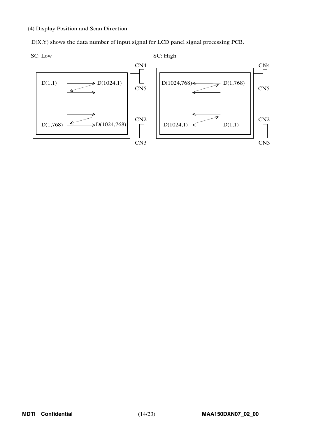(4) Display Position and Scan Direction

D(X,Y) shows the data number of input signal for LCD panel signal processing PCB.

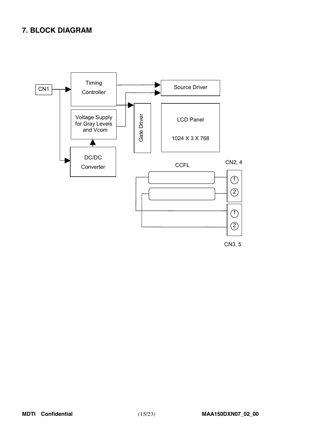# **7. BLOCK DIAGRAM**

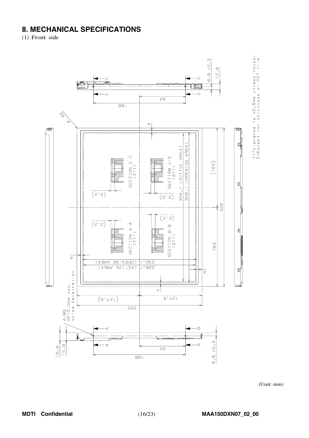# **8. MECHANICAL SPECIFICATIONS**

(1) Front side



1)Tolerance is ±0.5mm unless noted.<br>2)Except for thickness of PET film

(Unit: mm)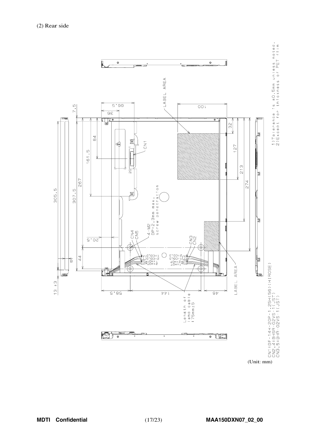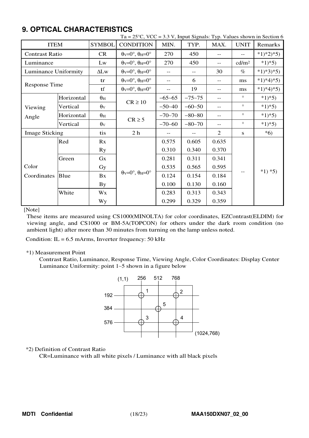|                              |            |                       | Ta = $25^{\circ}$ C, VCC = 3.3 V, Input Signals: Typ. Values shown in Section 6 |          |            |                   |                   |            |  |  |
|------------------------------|------------|-----------------------|---------------------------------------------------------------------------------|----------|------------|-------------------|-------------------|------------|--|--|
| <b>ITEM</b>                  |            | <b>SYMBOL</b>         | <b>CONDITION</b>                                                                | MIN.     | TYP.       | MAX.              | <b>UNIT</b>       | Remarks    |  |  |
| <b>Contrast Ratio</b>        |            | CR                    | $\theta_V = 0^\circ$ , $\theta_H = 0^\circ$                                     | 270      | 450        | $- -$             | $-$               | $*1)*2*5$  |  |  |
| Luminance                    |            | Lw                    | $\theta$ <sub>V</sub> =0°, $\theta$ <sub>H</sub> =0°                            | 270      | 450        | $- -$             | cd/m <sup>2</sup> | $*1*5)$    |  |  |
| Luminance Uniformity         |            | $\Delta L$ w          | $\theta$ <sub>V</sub> = $0^\circ$ , $\theta$ <sub>H</sub> = $0^\circ$           |          |            | 30                | $\%$              | $*1)*3*5)$ |  |  |
|                              |            | tr                    | $\theta$ <sub>V</sub> = $0^\circ$ , $\theta$ <sub>H</sub> = $0^\circ$           | $- -$    | 6          |                   | ms                | $*1)*4*5$  |  |  |
| <b>Response Time</b>         |            | tf                    | $\theta$ <sub>V</sub> = $0^\circ$ , $\theta$ <sub>H</sub> = $0^\circ$           |          | 19         | $- -$             | ms                | $*1)*4*5$  |  |  |
|                              | Horizontal | $\theta_{\rm H}$      | $CR \ge 10$                                                                     | $-65-65$ | $-75 - 75$ | $- -$             | $\circ$           | $*1*5)$    |  |  |
| Viewing                      | Vertical   | $\theta$ <sub>V</sub> |                                                                                 | $-50-40$ | $-60-50$   | $- -$             | $\circ$           | $*1*5)$    |  |  |
| Angle                        | Horizontal | $\theta_{\rm H}$      |                                                                                 | $-70-70$ | $-80-80$   | $- -$             | $\circ$           | $*1*5)$    |  |  |
|                              | Vertical   | $\theta$ <sub>V</sub> | $CR \geq 5$                                                                     | $-70-60$ | $-80-70$   | $\qquad \qquad -$ | $\circ$           | $*1*5)$    |  |  |
| <b>Image Sticking</b>        |            | tis                   | 2 <sub>h</sub>                                                                  |          | $-$        | 2                 | S                 | $*6)$      |  |  |
|                              | Red        | Rx                    |                                                                                 | 0.575    | 0.605      | 0.635             |                   |            |  |  |
|                              |            | <b>Ry</b>             |                                                                                 | 0.310    | 0.340      | 0.370             |                   |            |  |  |
|                              | Green      | Gx                    |                                                                                 | 0.281    | 0.311      | 0.341             |                   |            |  |  |
| Color<br>Blue<br>Coordinates |            | Gy                    |                                                                                 | 0.535    | 0.565      | 0.595             |                   | $*1) *5)$  |  |  |
|                              |            | Bx                    | $\theta$ <sub>V</sub> =0°, $\theta$ <sub>H</sub> =0°                            | 0.124    | 0.154      | 0.184             |                   |            |  |  |
|                              |            | <b>By</b>             |                                                                                 | 0.100    | 0.130      | 0.160             |                   |            |  |  |
|                              | White      | Wx                    |                                                                                 | 0.283    | 0.313      | 0.343             |                   |            |  |  |
|                              |            | Wy                    |                                                                                 | 0.299    | 0.329      | 0.359             |                   |            |  |  |

# **9 OPTICAL CHARACTERISTICS**

[Note]

These items are measured using CS1000(MINOLTA) for color coordinates, EZContrast(ELDIM) for viewing angle, and CS1000 or BM-5A(TOPCON) for others under the dark room condition (no ambient light) after more than 30 minutes from turning on the lamp unless noted.

Condition:  $IL = 6.5$  mArms, Inverter frequency: 50 kHz

#### \*1) Measurement Point

Contrast Ratio, Luminance, Response Time, Viewing Angle, Color Coordinates: Display Center Luminance Uniformity: point 1~5 shown in a figure below



## \*2) Definition of Contrast Ratio

CR=Luminance with all white pixels / Luminance with all black pixels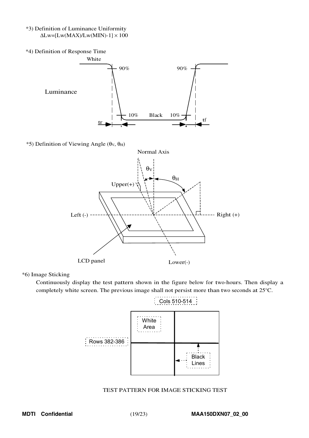\*3) Definition of Luminance Uniformity  $\Delta\text{Lw} = [\text{Lw}(\text{MAX})/\text{Lw}(\text{MIN})-1] \times 100$ 



\*5) Definition of Viewing Angle ( $\theta$ <sub>V</sub>,  $\theta$ <sub>H</sub>)



#### \*6) Image Sticking

Continuously display the test pattern shown in the figure below for two-hours. Then display a completely white screen. The previous image shall not persist more than two seconds at 25°C.



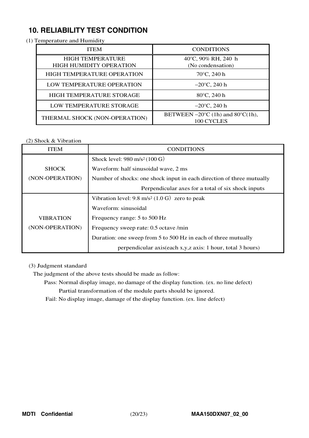# **10. RELIABILITY TEST CONDITION**

(1) Temperature and Humidity

| <b>ITEM</b>                                               | <b>CONDITIONS</b>                                                   |
|-----------------------------------------------------------|---------------------------------------------------------------------|
| <b>HIGH TEMPERATURE</b><br><b>HIGH HUMIDITY OPERATION</b> | 40°C, 90% RH, 240 h<br>(No condensation)                            |
| <b>HIGH TEMPERATURE OPERATION</b>                         | $70^{\circ}$ C, 240 h                                               |
| LOW TEMPERATURE OPERATION                                 | $-20^{\circ}$ C, 240 h                                              |
| HIGH TEMPERATURE STORAGE                                  | 80°C, 240 h                                                         |
| LOW TEMPERATURE STORAGE                                   | $-20^{\circ}$ C, 240 h                                              |
| THERMAL SHOCK (NON-OPERATION)                             | BETWEEN $-20^{\circ}$ C (1h) and 80 $^{\circ}$ C(1h),<br>100 CYCLES |

## (2) Shock & Vibration

| <b>ITEM</b>      | <b>CONDITIONS</b>                                                     |  |  |  |  |  |  |  |  |
|------------------|-----------------------------------------------------------------------|--|--|--|--|--|--|--|--|
|                  | Shock level: $980 \text{ m/s}^2 (100 \text{ G})$                      |  |  |  |  |  |  |  |  |
| <b>SHOCK</b>     | Waveform: half sinusoidal wave, 2 ms                                  |  |  |  |  |  |  |  |  |
| (NON-OPERATION)  | Number of shocks: one shock input in each direction of three mutually |  |  |  |  |  |  |  |  |
|                  | Perpendicular axes for a total of six shock inputs                    |  |  |  |  |  |  |  |  |
|                  | Vibration level: $9.8 \text{ m/s}^2 (1.0 \text{ G})$ zero to peak     |  |  |  |  |  |  |  |  |
|                  | Waveform: sinusoidal                                                  |  |  |  |  |  |  |  |  |
| <b>VIBRATION</b> | Frequency range: 5 to 500 Hz                                          |  |  |  |  |  |  |  |  |
| (NON-OPERATION)  | Frequency sweep rate: 0.5 octave /min                                 |  |  |  |  |  |  |  |  |
|                  | Duration: one sweep from 5 to 500 Hz in each of three mutually        |  |  |  |  |  |  |  |  |
|                  | perpendicular axis(each x,y,z axis: 1 hour, total 3 hours)            |  |  |  |  |  |  |  |  |

## (3) Judgment standard

The judgment of the above tests should be made as follow:

Pass: Normal display image, no damage of the display function. (ex. no line defect) Partial transformation of the module parts should be ignored.

Fail: No display image, damage of the display function. (ex. line defect)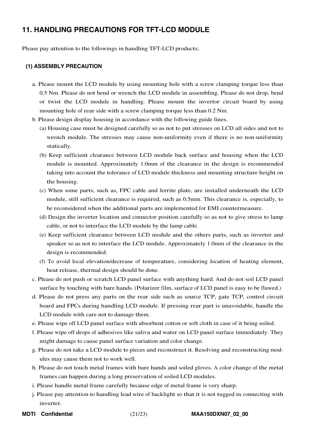# **11. HANDLING PRECAUTIONS FOR TFT-LCD MODULE**

Please pay attention to the followings in handling TFT-LCD products;

#### **(1) ASSEMBLY PRECAUTION**

- a. Please mount the LCD module by using mounting hole with a screw clamping torque less than 0.5 Nm. Please do not bend or wrench the LCD module in assembling. Please do not drop, bend or twist the LCD module in handling. Please mount the invertor circuit board by using mounting hole of rear side with a screw clamping torque less than 0.2 Nm.
- b. Please design display housing in accordance with the following guide lines.
	- (a) Housing case must be designed carefully so as not to put stresses on LCD all sides and not to wrench module. The stresses may cause non-uniformity even if there is no non-uniformity statically.
	- (b) Keep sufficient clearance between LCD module back surface and housing when the LCD module is mounted. Approximately 1.0mm of the clearance in the design is recommended taking into account the tolerance of LCD module thickness and mounting structure height on the housing.
	- (c) When some parts, such as, FPC cable and ferrite plate, are installed underneath the LCD module, still sufficient clearance is required, such as 0.5mm. This clearance is, especially, to be reconsidered when the additional parts are implemented for EMI countermeasure.
	- (d) Design the inverter location and connector position carefully so as not to give stress to lamp cable, or not to interface the LCD module by the lamp cable.
	- (e) Keep sufficient clearance between LCD module and the others parts, such as inverter and speaker so as not to interface the LCD module. Approximately 1.0mm of the clearance in the design is recommended.
	- (f) To avoid local elevation/decrease of temperature, considering location of heating element, heat release, thermal design should be done.
- c. Please do not push or scratch LCD panel surface with anything hard. And do not soil LCD panel surface by touching with bare hands. (Polarizer film, surface of LCD panel is easy to be flawed.)
- d. Please do not press any parts on the rear side such as source TCP, gate TCP, control circuit board and FPCs during handling LCD module. If pressing rear part is unavoidable, handle the LCD module with care not to damage them.
- e. Please wipe off LCD panel surface with absorbent cotton or soft cloth in case of it being soiled.
- f. Please wipe off drops of adhesives like saliva and water on LCD panel surface immediately. They might damage to cause panel surface variation and color change.
- g. Please do not take a LCD module to pieces and reconstruct it. Resolving and reconstructing modules may cause them not to work well.
- h. Please do not touch metal frames with bare hands and soiled gloves. A color change of the metal frames can happen during a long preservation of soiled LCD modules.
- i. Please handle metal frame carefully because edge of metal frame is very sharp.
- j. Please pay attention to handling lead wire of backlight so that it is not tugged in connecting with inverter.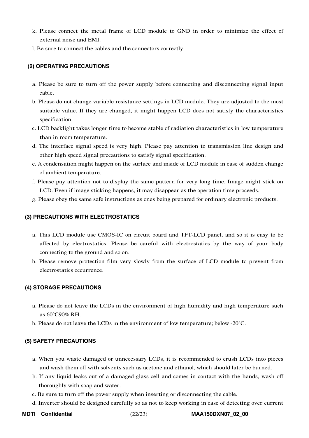- k. Please connect the metal frame of LCD module to GND in order to minimize the effect of external noise and EMI.
- l. Be sure to connect the cables and the connectors correctly.

## **(2) OPERATING PRECAUTIONS**

- a. Please be sure to turn off the power supply before connecting and disconnecting signal input cable.
- b. Please do not change variable resistance settings in LCD module. They are adjusted to the most suitable value. If they are changed, it might happen LCD does not satisfy the characteristics specification.
- c. LCD backlight takes longer time to become stable of radiation characteristics in low temperature than in room temperature.
- d. The interface signal speed is very high. Please pay attention to transmission line design and other high speed signal precautions to satisfy signal specification.
- e. A condensation might happen on the surface and inside of LCD module in case of sudden change of ambient temperature.
- f. Please pay attention not to display the same pattern for very long time. Image might stick on LCD. Even if image sticking happens, it may disappear as the operation time proceeds.
- g. Please obey the same safe instructions as ones being prepared for ordinary electronic products.

## **(3) PRECAUTIONS WITH ELECTROSTATICS**

- a. This LCD module use CMOS-IC on circuit board and TFT-LCD panel, and so it is easy to be affected by electrostatics. Please be careful with electrostatics by the way of your body connecting to the ground and so on.
- b. Please remove protection film very slowly from the surface of LCD module to prevent from electrostatics occurrence.

## **(4) STORAGE PRECAUTIONS**

- a. Please do not leave the LCDs in the environment of high humidity and high temperature such as 60°C90% RH.
- b. Please do not leave the LCDs in the environment of low temperature; below -20°C.

## **(5) SAFETY PRECAUTIONS**

- a. When you waste damaged or unnecessary LCDs, it is recommended to crush LCDs into pieces and wash them off with solvents such as acetone and ethanol, which should later be burned.
- b. If any liquid leaks out of a damaged glass cell and comes in contact with the hands, wash off thoroughly with soap and water.
- c. Be sure to turn off the power supply when inserting or disconnecting the cable.
- d. Inverter should be designed carefully so as not to keep working in case of detecting over current